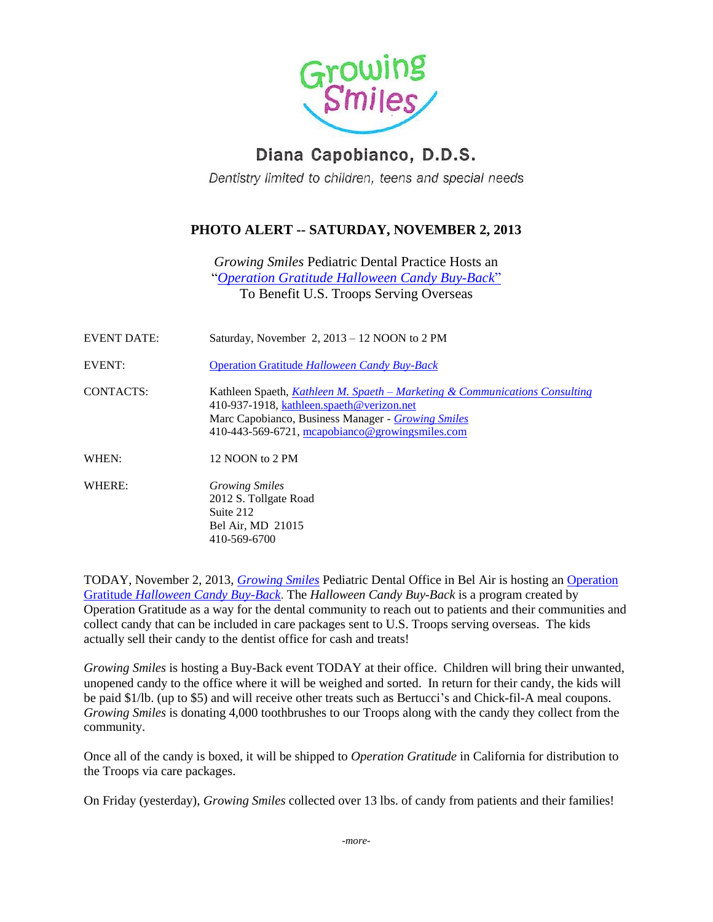

## Diana Capobianco, D.D.S.

Dentistry limited to children, teens and special needs

## **PHOTO ALERT -- SATURDAY, NOVEMBER 2, 2013**

*Growing Smiles* Pediatric Dental Practice Hosts an "*[Operation Gratitude Halloween Candy Buy-Back](http://www.halloweencandybuyback.com/)*" To Benefit U.S. Troops Serving Overseas

| EVENT DATE: | Saturday, November $2$ , $2013 - 12$ NOON to 2 PM                                                                                                                                                                                            |
|-------------|----------------------------------------------------------------------------------------------------------------------------------------------------------------------------------------------------------------------------------------------|
| EVENT:      | <b>Operation Gratitude Halloween Candy Buy-Back</b>                                                                                                                                                                                          |
| CONTACTS:   | Kathleen Spaeth, <i>Kathleen M. Spaeth – Marketing &amp; Communications Consulting</i><br>410-937-1918, kathleen.spaeth@verizon.net<br>Marc Capobianco, Business Manager - Growing Smiles<br>410-443-569-6721, mcapobianco@growingsmiles.com |
| WHEN:       | 12 NOON to 2 PM                                                                                                                                                                                                                              |
| WHERE:      | <i>Growing Smiles</i><br>2012 S. Tollgate Road<br>Suite 212<br>Bel Air, MD 21015<br>410-569-6700                                                                                                                                             |

TODAY, November 2, 2013, *[Growing Smiles](http://www.growingsmiles.com/)* Pediatric Dental Office in Bel Air is hosting an [Operation](http://www.halloweencandybuyback.com/)  Gratitude *[Halloween Candy Buy-Back](http://www.halloweencandybuyback.com/)*. The *Halloween Candy Buy-Back* is a program created by Operation Gratitude as a way for the dental community to reach out to patients and their communities and collect candy that can be included in care packages sent to U.S. Troops serving overseas. The kids actually sell their candy to the dentist office for cash and treats!

*Growing Smiles* is hosting a Buy-Back event TODAY at their office. Children will bring their unwanted, unopened candy to the office where it will be weighed and sorted. In return for their candy, the kids will be paid \$1/lb. (up to \$5) and will receive other treats such as Bertucci's and Chick-fil-A meal coupons. *Growing Smiles* is donating 4,000 toothbrushes to our Troops along with the candy they collect from the community.

Once all of the candy is boxed, it will be shipped to *Operation Gratitude* in California for distribution to the Troops via care packages.

On Friday (yesterday), *Growing Smiles* collected over 13 lbs. of candy from patients and their families!